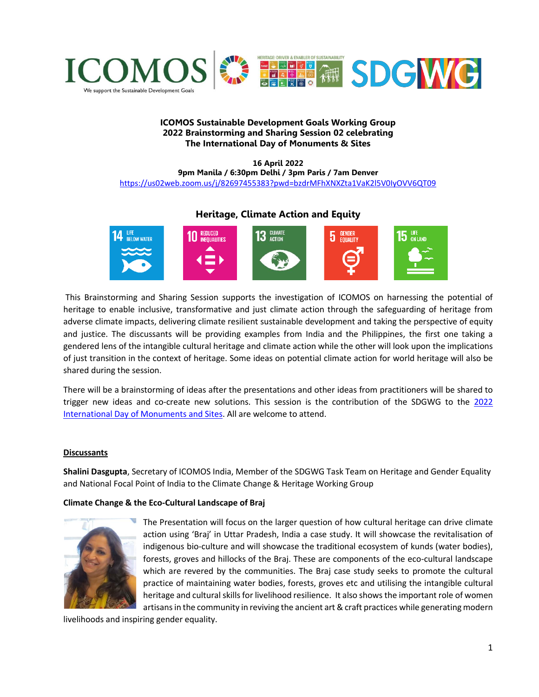

### **ICOMOS Sustainable Development Goals Working Group 2022 Brainstorming and Sharing Session 02 celebrating The International Day of Monuments & Sites**

#### **16 April 2022 9pm Manila / 6:30pm Delhi / 3pm Paris / 7am Denver** <https://us02web.zoom.us/j/82697455383?pwd=bzdrMFhXNXZta1VaK2l5V0IyOVV6QT09>

# **Heritage, Climate Action and Equity**



This Brainstorming and Sharing Session supports the investigation of ICOMOS on harnessing the potential of heritage to enable inclusive, transformative and just climate action through the safeguarding of heritage from adverse climate impacts, delivering climate resilient sustainable development and taking the perspective of equity and justice. The discussants will be providing examples from India and the Philippines, the first one taking a gendered lens of the intangible cultural heritage and climate action while the other will look upon the implications of just transition in the context of heritage. Some ideas on potential climate action for world heritage will also be shared during the session.

There will be a brainstorming of ideas after the presentations and other ideas from practitioners will be shared to trigger new ideas and co-create new solutions. This session is the contribution of the SDGWG to the [2022](https://www.icomos.org/en/focus/18-april-international-day-for-monuments-and-sites/104836-18-april-2022-heritage-and-climate)  [International Day of Monuments and Sites.](https://www.icomos.org/en/focus/18-april-international-day-for-monuments-and-sites/104836-18-april-2022-heritage-and-climate) All are welcome to attend.

#### **Discussants**

**Shalini Dasgupta**, Secretary of ICOMOS India, Member of the SDGWG Task Team on Heritage and Gender Equality and National Focal Point of India to the Climate Change & Heritage Working Group

#### **Climate Change & the Eco-Cultural Landscape of Braj**



The Presentation will focus on the larger question of how cultural heritage can drive climate action using 'Braj' in Uttar Pradesh, India a case study. It will showcase the revitalisation of indigenous bio-culture and will showcase the traditional ecosystem of kunds (water bodies), forests, groves and hillocks of the Braj. These are components of the eco-cultural landscape which are revered by the communities. The Braj case study seeks to promote the cultural practice of maintaining water bodies, forests, groves etc and utilising the intangible cultural heritage and cultural skills for livelihood resilience. It also shows the important role of women artisans in the community in reviving the ancient art & craft practices while generating modern

livelihoods and inspiring gender equality.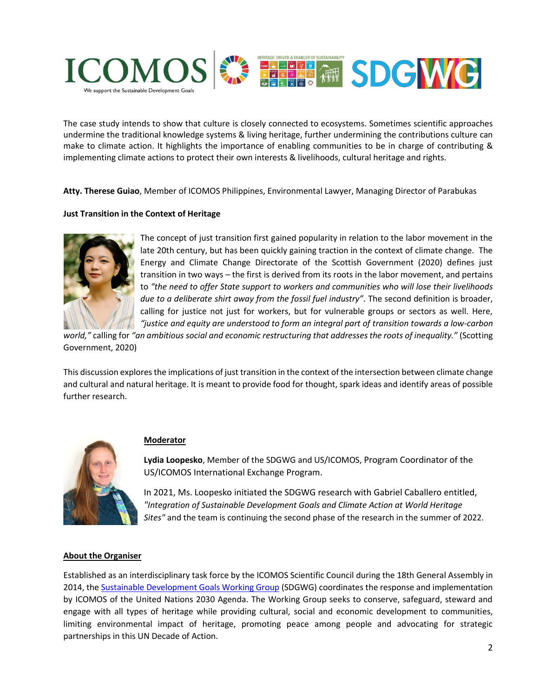

The case study intends to show that culture is closely connected to ecosystems. Sometimes scientific approaches undermine the traditional knowledge systems & living heritage, further undermining the contributions culture can make to climate action. It highlights the importance of enabling communities to be in charge of contributing & implementing climate actions to protect their own interests & livelihoods, cultural heritage and rights.

**Atty. Therese Guiao**, Member of ICOMOS Philippines, Environmental Lawyer, Managing Director of Parabukas

## **Just Transition in the Context of Heritage**



The concept of just transition first gained popularity in relation to the labor movement in the late 20th century, but has been quickly gaining traction in the context of climate change. The Energy and Climate Change Directorate of the Scottish Government (2020) defines just transition in two ways – the first is derived from its roots in the labor movement, and pertains to *"the need to offer State support to workers and communities who will lose their livelihoods due to a deliberate shirt away from the fossil fuel industry"*. The second definition is broader, calling for justice not just for workers, but for vulnerable groups or sectors as well. Here, *"justice and equity are understood to form an integral part of transition towards a low-carbon* 

*world,"* calling for *"an ambitious social and economic restructuring that addresses the roots of inequality."* (Scotting Government, 2020)

This discussion explores the implications of just transition in the context of the intersection between climate change and cultural and natural heritage. It is meant to provide food for thought, spark ideas and identify areas of possible further research.



#### **Moderator**

**Lydia Loopesko**, Member of the SDGWG and US/ICOMOS, Program Coordinator of the US/ICOMOS International Exchange Program.

In 2021, Ms. Loopesko initiated the SDGWG research with Gabriel Caballero entitled, *"Integration of Sustainable Development Goals and Climate Action at World Heritage Sites"* and the team is continuing the second phase of the research in the summer of 2022.

#### **About the Organiser**

Established as an interdisciplinary task force by the ICOMOS Scientific Council during the 18th General Assembly in 2014, the [Sustainable Development Goals Working Group](https://www.icomos.org/en/focus/un-sustainable-development-goals) (SDGWG) coordinates the response and implementation by ICOMOS of the United Nations 2030 Agenda. The Working Group seeks to conserve, safeguard, steward and engage with all types of heritage while providing cultural, social and economic development to communities, limiting environmental impact of heritage, promoting peace among people and advocating for strategic partnerships in this UN Decade of Action.